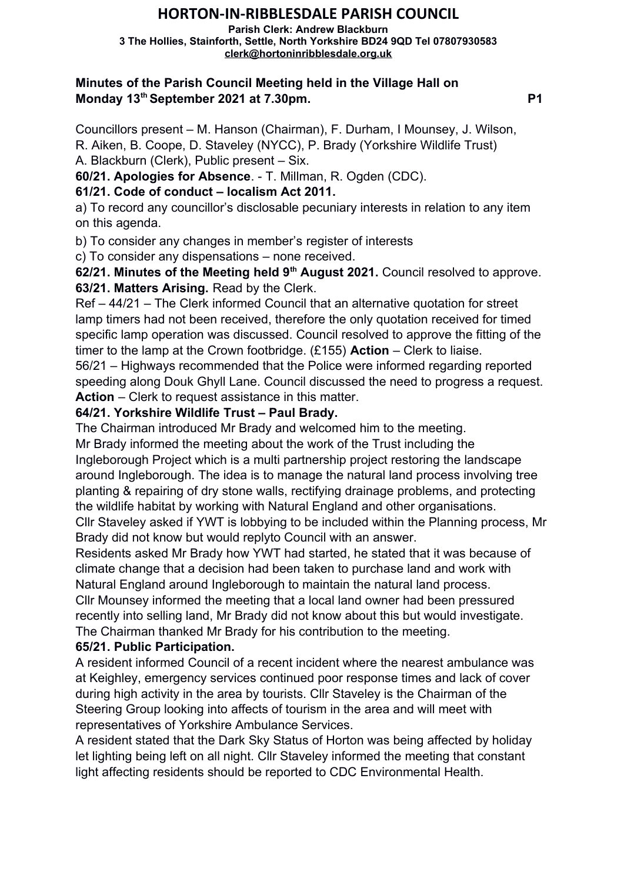#### **HORTON-IN-RIBBLESDALE PARISH COUNCIL**

**Parish Clerk: Andrew Blackburn 3 The Hollies, Stainforth, Settle, North Yorkshire BD24 9QD Tel 07807930583 [clerk@hortoninribblesdale.org.uk](mailto:clerk@hortoninribblesdale.org.uk)**

#### **Minutes of the Parish Council Meeting held in the Village Hall on Monday 13<sup>th</sup> September 2021 at 7.30pm.** P1

Councillors present – M. Hanson (Chairman), F. Durham, I Mounsey, J. Wilson, R. Aiken, B. Coope, D. Staveley (NYCC), P. Brady (Yorkshire Wildlife Trust) A. Blackburn (Clerk), Public present – Six.

**60/21. Apologies for Absence**. - T. Millman, R. Ogden (CDC).

#### **61/21. Code of conduct – localism Act 2011.**

a) To record any councillor's disclosable pecuniary interests in relation to any item on this agenda.

b) To consider any changes in member's register of interests

c) To consider any dispensations – none received.

**62/21. Minutes of the Meeting held 9th August 2021.** Council resolved to approve. **63/21. Matters Arising.** Read by the Clerk.

Ref – 44/21 – The Clerk informed Council that an alternative quotation for street lamp timers had not been received, therefore the only quotation received for timed specific lamp operation was discussed. Council resolved to approve the fitting of the timer to the lamp at the Crown footbridge. (£155) **Action** – Clerk to liaise.

56/21 – Highways recommended that the Police were informed regarding reported speeding along Douk Ghyll Lane. Council discussed the need to progress a request. **Action** – Clerk to request assistance in this matter.

#### **64/21. Yorkshire Wildlife Trust – Paul Brady.**

The Chairman introduced Mr Brady and welcomed him to the meeting.

Mr Brady informed the meeting about the work of the Trust including the Ingleborough Project which is a multi partnership project restoring the landscape around Ingleborough. The idea is to manage the natural land process involving tree planting & repairing of dry stone walls, rectifying drainage problems, and protecting the wildlife habitat by working with Natural England and other organisations. Cllr Staveley asked if YWT is lobbying to be included within the Planning process, Mr

Brady did not know but would replyto Council with an answer.

Residents asked Mr Brady how YWT had started, he stated that it was because of climate change that a decision had been taken to purchase land and work with Natural England around Ingleborough to maintain the natural land process. Cllr Mounsey informed the meeting that a local land owner had been pressured recently into selling land, Mr Brady did not know about this but would investigate.

The Chairman thanked Mr Brady for his contribution to the meeting.

# **65/21. Public Participation.**

A resident informed Council of a recent incident where the nearest ambulance was at Keighley, emergency services continued poor response times and lack of cover during high activity in the area by tourists. Cllr Staveley is the Chairman of the Steering Group looking into affects of tourism in the area and will meet with representatives of Yorkshire Ambulance Services.

A resident stated that the Dark Sky Status of Horton was being affected by holiday let lighting being left on all night. Cllr Staveley informed the meeting that constant light affecting residents should be reported to CDC Environmental Health.